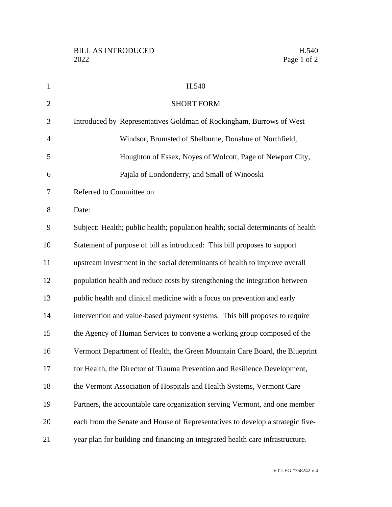| $\mathbf{1}$   | H.540                                                                            |
|----------------|----------------------------------------------------------------------------------|
| $\overline{2}$ | <b>SHORT FORM</b>                                                                |
| 3              | Introduced by Representatives Goldman of Rockingham, Burrows of West             |
| $\overline{4}$ | Windsor, Brumsted of Shelburne, Donahue of Northfield,                           |
| 5              | Houghton of Essex, Noyes of Wolcott, Page of Newport City,                       |
| 6              | Pajala of Londonderry, and Small of Winooski                                     |
| 7              | Referred to Committee on                                                         |
| 8              | Date:                                                                            |
| 9              | Subject: Health; public health; population health; social determinants of health |
| 10             | Statement of purpose of bill as introduced: This bill proposes to support        |
| 11             | upstream investment in the social determinants of health to improve overall      |
| 12             | population health and reduce costs by strengthening the integration between      |
| 13             | public health and clinical medicine with a focus on prevention and early         |
| 14             | intervention and value-based payment systems. This bill proposes to require      |
| 15             | the Agency of Human Services to convene a working group composed of the          |
| 16             | Vermont Department of Health, the Green Mountain Care Board, the Blueprint       |
| 17             | for Health, the Director of Trauma Prevention and Resilience Development,        |
| 18             | the Vermont Association of Hospitals and Health Systems, Vermont Care            |
| 19             | Partners, the accountable care organization serving Vermont, and one member      |
| 20             | each from the Senate and House of Representatives to develop a strategic five-   |
| 21             | year plan for building and financing an integrated health care infrastructure.   |